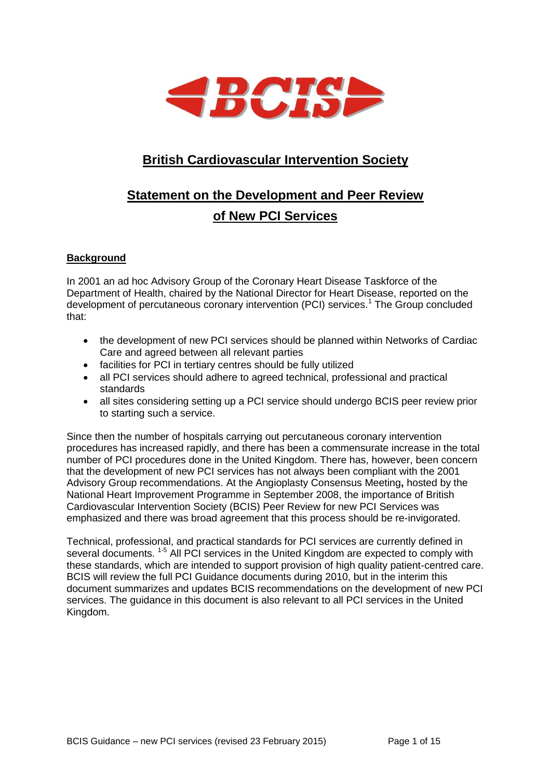

# **British Cardiovascular Intervention Society**

# **Statement on the Development and Peer Review of New PCI Services**

# **Background**

In 2001 an ad hoc Advisory Group of the Coronary Heart Disease Taskforce of the Department of Health, chaired by the National Director for Heart Disease, reported on the development of percutaneous coronary intervention (PCI) services.<sup>1</sup> The Group concluded that:

- the development of new PCI services should be planned within Networks of Cardiac Care and agreed between all relevant parties
- facilities for PCI in tertiary centres should be fully utilized
- all PCI services should adhere to agreed technical, professional and practical standards
- all sites considering setting up a PCI service should undergo BCIS peer review prior to starting such a service.

Since then the number of hospitals carrying out percutaneous coronary intervention procedures has increased rapidly, and there has been a commensurate increase in the total number of PCI procedures done in the United Kingdom. There has, however, been concern that the development of new PCI services has not always been compliant with the 2001 Advisory Group recommendations. At the Angioplasty Consensus Meeting**,** hosted by the National Heart Improvement Programme in September 2008, the importance of British Cardiovascular Intervention Society (BCIS) Peer Review for new PCI Services was emphasized and there was broad agreement that this process should be re-invigorated.

Technical, professional, and practical standards for PCI services are currently defined in several documents. <sup>1-5</sup> All PCI services in the United Kingdom are expected to comply with these standards, which are intended to support provision of high quality patient-centred care. BCIS will review the full PCI Guidance documents during 2010, but in the interim this document summarizes and updates BCIS recommendations on the development of new PCI services. The guidance in this document is also relevant to all PCI services in the United Kingdom.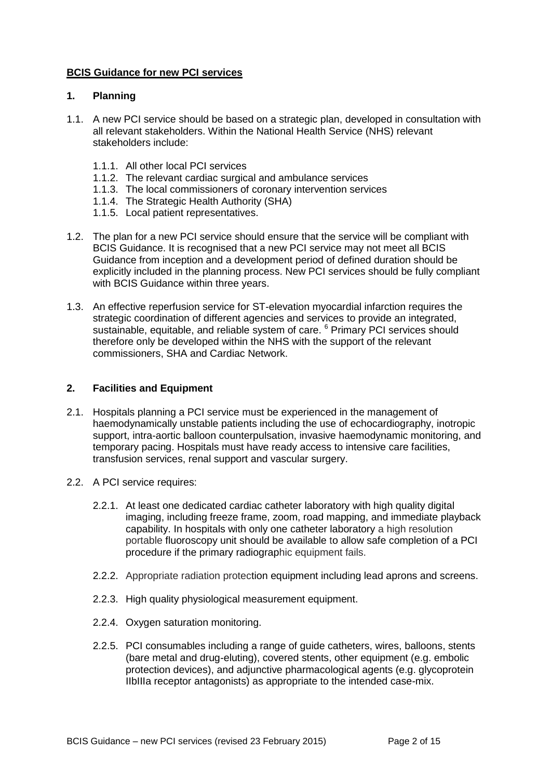#### **BCIS Guidance for new PCI services**

#### **1. Planning**

- 1.1. A new PCI service should be based on a strategic plan, developed in consultation with all relevant stakeholders. Within the National Health Service (NHS) relevant stakeholders include:
	- 1.1.1. All other local PCI services
	- 1.1.2. The relevant cardiac surgical and ambulance services
	- 1.1.3. The local commissioners of coronary intervention services
	- 1.1.4. The Strategic Health Authority (SHA)
	- 1.1.5. Local patient representatives.
- 1.2. The plan for a new PCI service should ensure that the service will be compliant with BCIS Guidance. It is recognised that a new PCI service may not meet all BCIS Guidance from inception and a development period of defined duration should be explicitly included in the planning process. New PCI services should be fully compliant with BCIS Guidance within three years.
- 1.3. An effective reperfusion service for ST-elevation myocardial infarction requires the strategic coordination of different agencies and services to provide an integrated, sustainable, equitable, and reliable system of care. <sup>6</sup> Primary PCI services should therefore only be developed within the NHS with the support of the relevant commissioners, SHA and Cardiac Network.

#### **2. Facilities and Equipment**

- 2.1. Hospitals planning a PCI service must be experienced in the management of haemodynamically unstable patients including the use of echocardiography, inotropic support, intra-aortic balloon counterpulsation, invasive haemodynamic monitoring, and temporary pacing. Hospitals must have ready access to intensive care facilities, transfusion services, renal support and vascular surgery.
- 2.2. A PCI service requires:
	- 2.2.1. At least one dedicated cardiac catheter laboratory with high quality digital imaging, including freeze frame, zoom, road mapping, and immediate playback capability. In hospitals with only one catheter laboratory a high resolution portable fluoroscopy unit should be available to allow safe completion of a PCI procedure if the primary radiographic equipment fails.
	- 2.2.2. Appropriate radiation protection equipment including lead aprons and screens.
	- 2.2.3. High quality physiological measurement equipment.
	- 2.2.4. Oxygen saturation monitoring.
	- 2.2.5. PCI consumables including a range of guide catheters, wires, balloons, stents (bare metal and drug-eluting), covered stents, other equipment (e.g. embolic protection devices), and adjunctive pharmacological agents (e.g. glycoprotein IIbIIIa receptor antagonists) as appropriate to the intended case-mix.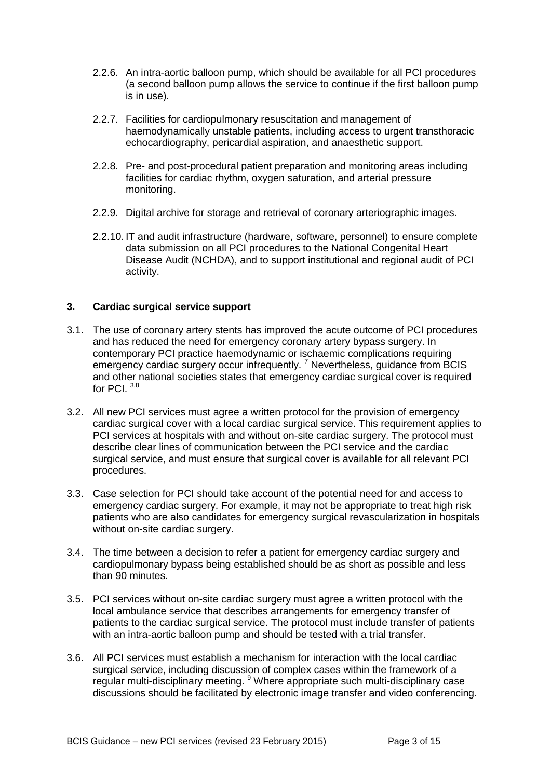- 2.2.6. An intra-aortic balloon pump, which should be available for all PCI procedures (a second balloon pump allows the service to continue if the first balloon pump is in use).
- 2.2.7. Facilities for cardiopulmonary resuscitation and management of haemodynamically unstable patients, including access to urgent transthoracic echocardiography, pericardial aspiration, and anaesthetic support.
- 2.2.8. Pre- and post-procedural patient preparation and monitoring areas including facilities for cardiac rhythm, oxygen saturation, and arterial pressure monitoring.
- 2.2.9. Digital archive for storage and retrieval of coronary arteriographic images.
- 2.2.10. IT and audit infrastructure (hardware, software, personnel) to ensure complete data submission on all PCI procedures to the National Congenital Heart Disease Audit (NCHDA), and to support institutional and regional audit of PCI activity.

# **3. Cardiac surgical service support**

- 3.1. The use of coronary artery stents has improved the acute outcome of PCI procedures and has reduced the need for emergency coronary artery bypass surgery. In contemporary PCI practice haemodynamic or ischaemic complications requiring emergency cardiac surgery occur infrequently.<sup>7</sup> Nevertheless, guidance from BCIS and other national societies states that emergency cardiac surgical cover is required for PCI $3,8$
- 3.2. All new PCI services must agree a written protocol for the provision of emergency cardiac surgical cover with a local cardiac surgical service. This requirement applies to PCI services at hospitals with and without on-site cardiac surgery. The protocol must describe clear lines of communication between the PCI service and the cardiac surgical service, and must ensure that surgical cover is available for all relevant PCI procedures.
- 3.3. Case selection for PCI should take account of the potential need for and access to emergency cardiac surgery. For example, it may not be appropriate to treat high risk patients who are also candidates for emergency surgical revascularization in hospitals without on-site cardiac surgery.
- 3.4. The time between a decision to refer a patient for emergency cardiac surgery and cardiopulmonary bypass being established should be as short as possible and less than 90 minutes.
- 3.5. PCI services without on-site cardiac surgery must agree a written protocol with the local ambulance service that describes arrangements for emergency transfer of patients to the cardiac surgical service. The protocol must include transfer of patients with an intra-aortic balloon pump and should be tested with a trial transfer.
- 3.6. All PCI services must establish a mechanism for interaction with the local cardiac surgical service, including discussion of complex cases within the framework of a regular multi-disciplinary meeting. <sup>9</sup> Where appropriate such multi-disciplinary case discussions should be facilitated by electronic image transfer and video conferencing.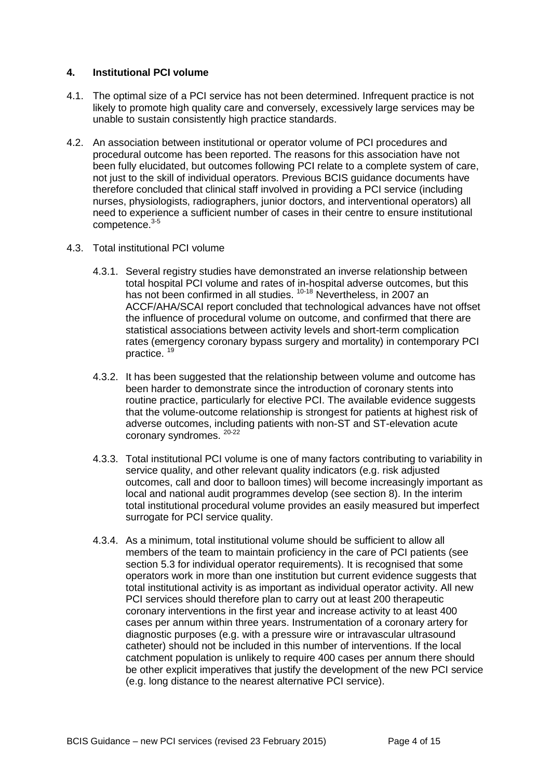#### **4. Institutional PCI volume**

- 4.1. The optimal size of a PCI service has not been determined. Infrequent practice is not likely to promote high quality care and conversely, excessively large services may be unable to sustain consistently high practice standards.
- 4.2. An association between institutional or operator volume of PCI procedures and procedural outcome has been reported. The reasons for this association have not been fully elucidated, but outcomes following PCI relate to a complete system of care, not just to the skill of individual operators. Previous BCIS guidance documents have therefore concluded that clinical staff involved in providing a PCI service (including nurses, physiologists, radiographers, junior doctors, and interventional operators) all need to experience a sufficient number of cases in their centre to ensure institutional competence.3-5
- 4.3. Total institutional PCI volume
	- 4.3.1. Several registry studies have demonstrated an inverse relationship between total hospital PCI volume and rates of in-hospital adverse outcomes, but this has not been confirmed in all studies. <sup>10-18</sup> Nevertheless, in 2007 an ACCF/AHA/SCAI report concluded that technological advances have not offset the influence of procedural volume on outcome, and confirmed that there are statistical associations between activity levels and short-term complication rates (emergency coronary bypass surgery and mortality) in contemporary PCI practice. <sup>19</sup>
	- 4.3.2. It has been suggested that the relationship between volume and outcome has been harder to demonstrate since the introduction of coronary stents into routine practice, particularly for elective PCI. The available evidence suggests that the volume-outcome relationship is strongest for patients at highest risk of adverse outcomes, including patients with non-ST and ST-elevation acute coronary syndromes. 20-22
	- 4.3.3. Total institutional PCI volume is one of many factors contributing to variability in service quality, and other relevant quality indicators (e.g. risk adjusted outcomes, call and door to balloon times) will become increasingly important as local and national audit programmes develop (see section 8). In the interim total institutional procedural volume provides an easily measured but imperfect surrogate for PCI service quality.
	- 4.3.4. As a minimum, total institutional volume should be sufficient to allow all members of the team to maintain proficiency in the care of PCI patients (see section 5.3 for individual operator requirements). It is recognised that some operators work in more than one institution but current evidence suggests that total institutional activity is as important as individual operator activity. All new PCI services should therefore plan to carry out at least 200 therapeutic coronary interventions in the first year and increase activity to at least 400 cases per annum within three years. Instrumentation of a coronary artery for diagnostic purposes (e.g. with a pressure wire or intravascular ultrasound catheter) should not be included in this number of interventions. If the local catchment population is unlikely to require 400 cases per annum there should be other explicit imperatives that justify the development of the new PCI service (e.g. long distance to the nearest alternative PCI service).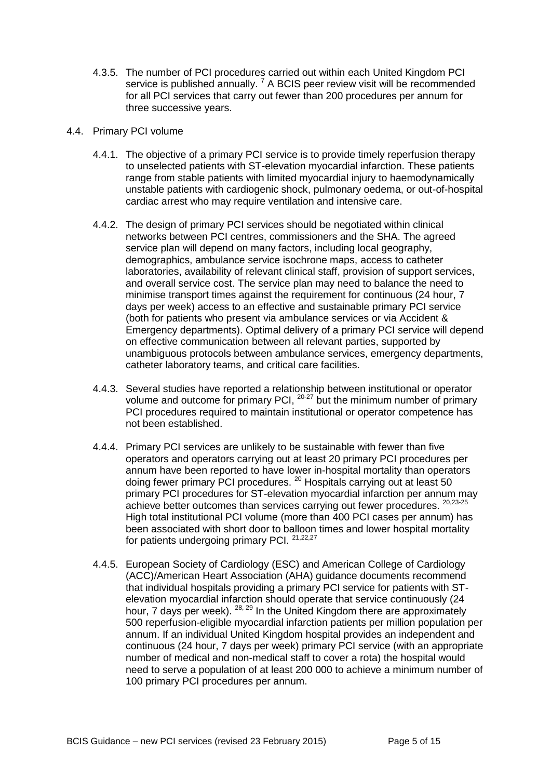4.3.5. The number of PCI procedures carried out within each United Kingdom PCI service is published annually.<sup>7</sup> A BCIS peer review visit will be recommended for all PCI services that carry out fewer than 200 procedures per annum for three successive years.

#### 4.4. Primary PCI volume

- 4.4.1. The objective of a primary PCI service is to provide timely reperfusion therapy to unselected patients with ST-elevation myocardial infarction. These patients range from stable patients with limited myocardial injury to haemodynamically unstable patients with cardiogenic shock, pulmonary oedema, or out-of-hospital cardiac arrest who may require ventilation and intensive care.
- 4.4.2. The design of primary PCI services should be negotiated within clinical networks between PCI centres, commissioners and the SHA. The agreed service plan will depend on many factors, including local geography, demographics, ambulance service isochrone maps, access to catheter laboratories, availability of relevant clinical staff, provision of support services, and overall service cost. The service plan may need to balance the need to minimise transport times against the requirement for continuous (24 hour, 7 days per week) access to an effective and sustainable primary PCI service (both for patients who present via ambulance services or via Accident & Emergency departments). Optimal delivery of a primary PCI service will depend on effective communication between all relevant parties, supported by unambiguous protocols between ambulance services, emergency departments, catheter laboratory teams, and critical care facilities.
- 4.4.3. Several studies have reported a relationship between institutional or operator volume and outcome for primary PCI,  $20-27$  but the minimum number of primary PCI procedures required to maintain institutional or operator competence has not been established.
- 4.4.4. Primary PCI services are unlikely to be sustainable with fewer than five operators and operators carrying out at least 20 primary PCI procedures per annum have been reported to have lower in-hospital mortality than operators doing fewer primary PCI procedures. <sup>20</sup> Hospitals carrying out at least 50 primary PCI procedures for ST-elevation myocardial infarction per annum may achieve better outcomes than services carrying out fewer procedures. 20,23-25 High total institutional PCI volume (more than 400 PCI cases per annum) has been associated with short door to balloon times and lower hospital mortality for patients undergoing primary PCI. 21,22,27
- 4.4.5. European Society of Cardiology (ESC) and American College of Cardiology (ACC)/American Heart Association (AHA) guidance documents recommend that individual hospitals providing a primary PCI service for patients with STelevation myocardial infarction should operate that service continuously (24 hour, 7 days per week). <sup>28, 29</sup> In the United Kingdom there are approximately 500 reperfusion-eligible myocardial infarction patients per million population per annum. If an individual United Kingdom hospital provides an independent and continuous (24 hour, 7 days per week) primary PCI service (with an appropriate number of medical and non-medical staff to cover a rota) the hospital would need to serve a population of at least 200 000 to achieve a minimum number of 100 primary PCI procedures per annum.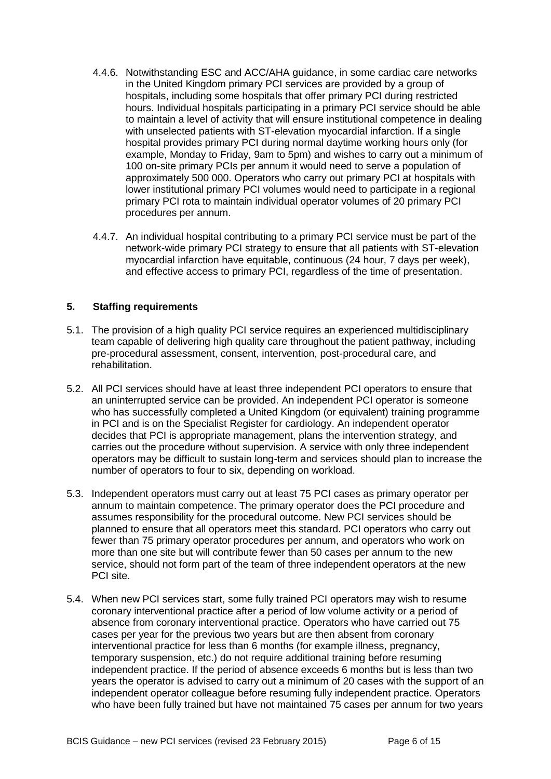- 4.4.6. Notwithstanding ESC and ACC/AHA guidance, in some cardiac care networks in the United Kingdom primary PCI services are provided by a group of hospitals, including some hospitals that offer primary PCI during restricted hours. Individual hospitals participating in a primary PCI service should be able to maintain a level of activity that will ensure institutional competence in dealing with unselected patients with ST-elevation myocardial infarction. If a single hospital provides primary PCI during normal daytime working hours only (for example, Monday to Friday, 9am to 5pm) and wishes to carry out a minimum of 100 on-site primary PCIs per annum it would need to serve a population of approximately 500 000. Operators who carry out primary PCI at hospitals with lower institutional primary PCI volumes would need to participate in a regional primary PCI rota to maintain individual operator volumes of 20 primary PCI procedures per annum.
- 4.4.7. An individual hospital contributing to a primary PCI service must be part of the network-wide primary PCI strategy to ensure that all patients with ST-elevation myocardial infarction have equitable, continuous (24 hour, 7 days per week), and effective access to primary PCI, regardless of the time of presentation.

### **5. Staffing requirements**

- 5.1. The provision of a high quality PCI service requires an experienced multidisciplinary team capable of delivering high quality care throughout the patient pathway, including pre-procedural assessment, consent, intervention, post-procedural care, and rehabilitation.
- 5.2. All PCI services should have at least three independent PCI operators to ensure that an uninterrupted service can be provided. An independent PCI operator is someone who has successfully completed a United Kingdom (or equivalent) training programme in PCI and is on the Specialist Register for cardiology. An independent operator decides that PCI is appropriate management, plans the intervention strategy, and carries out the procedure without supervision. A service with only three independent operators may be difficult to sustain long-term and services should plan to increase the number of operators to four to six, depending on workload.
- 5.3. Independent operators must carry out at least 75 PCI cases as primary operator per annum to maintain competence. The primary operator does the PCI procedure and assumes responsibility for the procedural outcome. New PCI services should be planned to ensure that all operators meet this standard. PCI operators who carry out fewer than 75 primary operator procedures per annum, and operators who work on more than one site but will contribute fewer than 50 cases per annum to the new service, should not form part of the team of three independent operators at the new PCI site.
- 5.4. When new PCI services start, some fully trained PCI operators may wish to resume coronary interventional practice after a period of low volume activity or a period of absence from coronary interventional practice. Operators who have carried out 75 cases per year for the previous two years but are then absent from coronary interventional practice for less than 6 months (for example illness, pregnancy, temporary suspension, etc.) do not require additional training before resuming independent practice. If the period of absence exceeds 6 months but is less than two years the operator is advised to carry out a minimum of 20 cases with the support of an independent operator colleague before resuming fully independent practice. Operators who have been fully trained but have not maintained 75 cases per annum for two years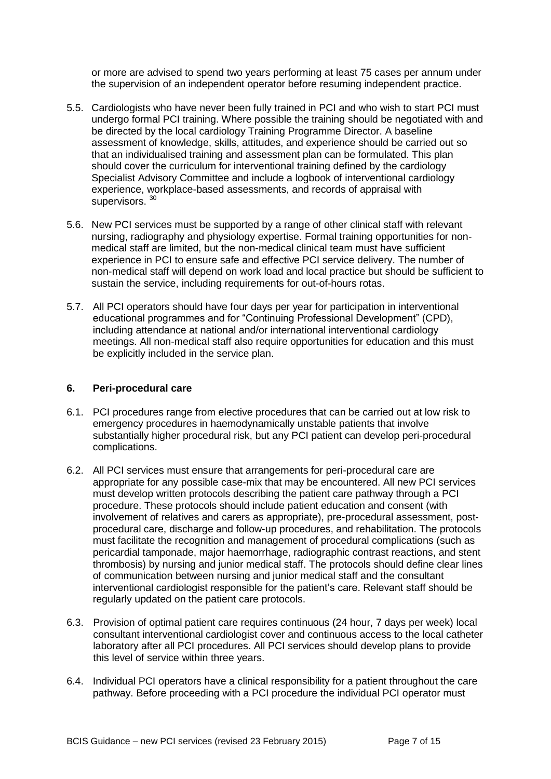or more are advised to spend two years performing at least 75 cases per annum under the supervision of an independent operator before resuming independent practice.

- 5.5. Cardiologists who have never been fully trained in PCI and who wish to start PCI must undergo formal PCI training. Where possible the training should be negotiated with and be directed by the local cardiology Training Programme Director. A baseline assessment of knowledge, skills, attitudes, and experience should be carried out so that an individualised training and assessment plan can be formulated. This plan should cover the curriculum for interventional training defined by the cardiology Specialist Advisory Committee and include a logbook of interventional cardiology experience, workplace-based assessments, and records of appraisal with supervisors.<sup>30</sup>
- 5.6. New PCI services must be supported by a range of other clinical staff with relevant nursing, radiography and physiology expertise. Formal training opportunities for nonmedical staff are limited, but the non-medical clinical team must have sufficient experience in PCI to ensure safe and effective PCI service delivery. The number of non-medical staff will depend on work load and local practice but should be sufficient to sustain the service, including requirements for out-of-hours rotas.
- 5.7. All PCI operators should have four days per year for participation in interventional educational programmes and for "Continuing Professional Development" (CPD), including attendance at national and/or international interventional cardiology meetings. All non-medical staff also require opportunities for education and this must be explicitly included in the service plan.

#### **6. Peri-procedural care**

- 6.1. PCI procedures range from elective procedures that can be carried out at low risk to emergency procedures in haemodynamically unstable patients that involve substantially higher procedural risk, but any PCI patient can develop peri-procedural complications.
- 6.2. All PCI services must ensure that arrangements for peri-procedural care are appropriate for any possible case-mix that may be encountered. All new PCI services must develop written protocols describing the patient care pathway through a PCI procedure. These protocols should include patient education and consent (with involvement of relatives and carers as appropriate), pre-procedural assessment, postprocedural care, discharge and follow-up procedures, and rehabilitation. The protocols must facilitate the recognition and management of procedural complications (such as pericardial tamponade, major haemorrhage, radiographic contrast reactions, and stent thrombosis) by nursing and junior medical staff. The protocols should define clear lines of communication between nursing and junior medical staff and the consultant interventional cardiologist responsible for the patient's care. Relevant staff should be regularly updated on the patient care protocols.
- 6.3. Provision of optimal patient care requires continuous (24 hour, 7 days per week) local consultant interventional cardiologist cover and continuous access to the local catheter laboratory after all PCI procedures. All PCI services should develop plans to provide this level of service within three years.
- 6.4. Individual PCI operators have a clinical responsibility for a patient throughout the care pathway. Before proceeding with a PCI procedure the individual PCI operator must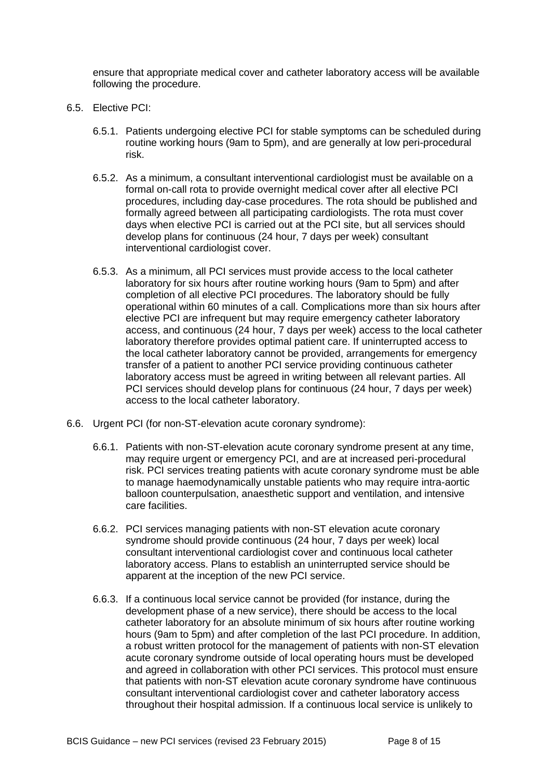ensure that appropriate medical cover and catheter laboratory access will be available following the procedure.

- 6.5. Elective PCI:
	- 6.5.1. Patients undergoing elective PCI for stable symptoms can be scheduled during routine working hours (9am to 5pm), and are generally at low peri-procedural risk.
	- 6.5.2. As a minimum, a consultant interventional cardiologist must be available on a formal on-call rota to provide overnight medical cover after all elective PCI procedures, including day-case procedures. The rota should be published and formally agreed between all participating cardiologists. The rota must cover days when elective PCI is carried out at the PCI site, but all services should develop plans for continuous (24 hour, 7 days per week) consultant interventional cardiologist cover.
	- 6.5.3. As a minimum, all PCI services must provide access to the local catheter laboratory for six hours after routine working hours (9am to 5pm) and after completion of all elective PCI procedures. The laboratory should be fully operational within 60 minutes of a call. Complications more than six hours after elective PCI are infrequent but may require emergency catheter laboratory access, and continuous (24 hour, 7 days per week) access to the local catheter laboratory therefore provides optimal patient care. If uninterrupted access to the local catheter laboratory cannot be provided, arrangements for emergency transfer of a patient to another PCI service providing continuous catheter laboratory access must be agreed in writing between all relevant parties. All PCI services should develop plans for continuous (24 hour, 7 days per week) access to the local catheter laboratory.
- 6.6. Urgent PCI (for non-ST-elevation acute coronary syndrome):
	- 6.6.1. Patients with non-ST-elevation acute coronary syndrome present at any time, may require urgent or emergency PCI, and are at increased peri-procedural risk. PCI services treating patients with acute coronary syndrome must be able to manage haemodynamically unstable patients who may require intra-aortic balloon counterpulsation, anaesthetic support and ventilation, and intensive care facilities.
	- 6.6.2. PCI services managing patients with non-ST elevation acute coronary syndrome should provide continuous (24 hour, 7 days per week) local consultant interventional cardiologist cover and continuous local catheter laboratory access. Plans to establish an uninterrupted service should be apparent at the inception of the new PCI service.
	- 6.6.3. If a continuous local service cannot be provided (for instance, during the development phase of a new service), there should be access to the local catheter laboratory for an absolute minimum of six hours after routine working hours (9am to 5pm) and after completion of the last PCI procedure. In addition, a robust written protocol for the management of patients with non-ST elevation acute coronary syndrome outside of local operating hours must be developed and agreed in collaboration with other PCI services. This protocol must ensure that patients with non-ST elevation acute coronary syndrome have continuous consultant interventional cardiologist cover and catheter laboratory access throughout their hospital admission. If a continuous local service is unlikely to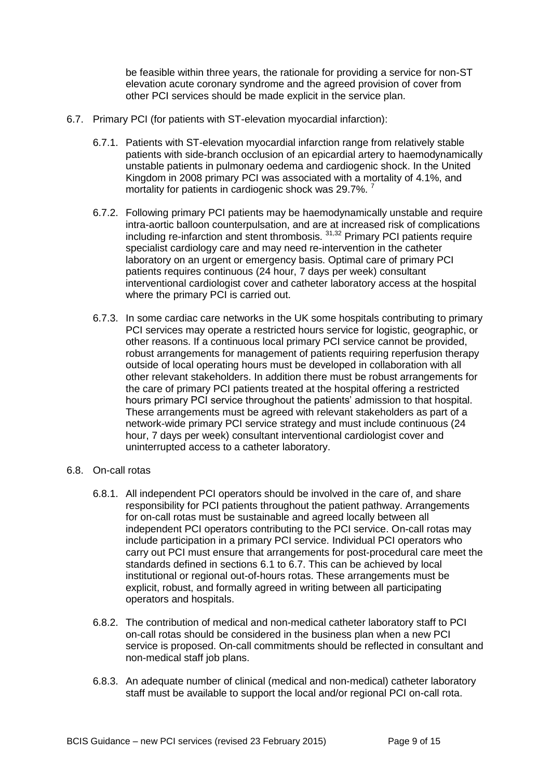be feasible within three years, the rationale for providing a service for non-ST elevation acute coronary syndrome and the agreed provision of cover from other PCI services should be made explicit in the service plan.

- 6.7. Primary PCI (for patients with ST-elevation myocardial infarction):
	- 6.7.1. Patients with ST-elevation myocardial infarction range from relatively stable patients with side-branch occlusion of an epicardial artery to haemodynamically unstable patients in pulmonary oedema and cardiogenic shock. In the United Kingdom in 2008 primary PCI was associated with a mortality of 4.1%, and mortality for patients in cardiogenic shock was 29.7%.<sup>7</sup>
	- 6.7.2. Following primary PCI patients may be haemodynamically unstable and require intra-aortic balloon counterpulsation, and are at increased risk of complications including re-infarction and stent thrombosis.<sup>31,32</sup> Primary PCI patients require specialist cardiology care and may need re-intervention in the catheter laboratory on an urgent or emergency basis. Optimal care of primary PCI patients requires continuous (24 hour, 7 days per week) consultant interventional cardiologist cover and catheter laboratory access at the hospital where the primary PCI is carried out.
	- 6.7.3. In some cardiac care networks in the UK some hospitals contributing to primary PCI services may operate a restricted hours service for logistic, geographic, or other reasons. If a continuous local primary PCI service cannot be provided, robust arrangements for management of patients requiring reperfusion therapy outside of local operating hours must be developed in collaboration with all other relevant stakeholders. In addition there must be robust arrangements for the care of primary PCI patients treated at the hospital offering a restricted hours primary PCI service throughout the patients' admission to that hospital. These arrangements must be agreed with relevant stakeholders as part of a network-wide primary PCI service strategy and must include continuous (24 hour, 7 days per week) consultant interventional cardiologist cover and uninterrupted access to a catheter laboratory.

#### 6.8. On-call rotas

- 6.8.1. All independent PCI operators should be involved in the care of, and share responsibility for PCI patients throughout the patient pathway. Arrangements for on-call rotas must be sustainable and agreed locally between all independent PCI operators contributing to the PCI service. On-call rotas may include participation in a primary PCI service. Individual PCI operators who carry out PCI must ensure that arrangements for post-procedural care meet the standards defined in sections 6.1 to 6.7. This can be achieved by local institutional or regional out-of-hours rotas. These arrangements must be explicit, robust, and formally agreed in writing between all participating operators and hospitals.
- 6.8.2. The contribution of medical and non-medical catheter laboratory staff to PCI on-call rotas should be considered in the business plan when a new PCI service is proposed. On-call commitments should be reflected in consultant and non-medical staff job plans.
- 6.8.3. An adequate number of clinical (medical and non-medical) catheter laboratory staff must be available to support the local and/or regional PCI on-call rota.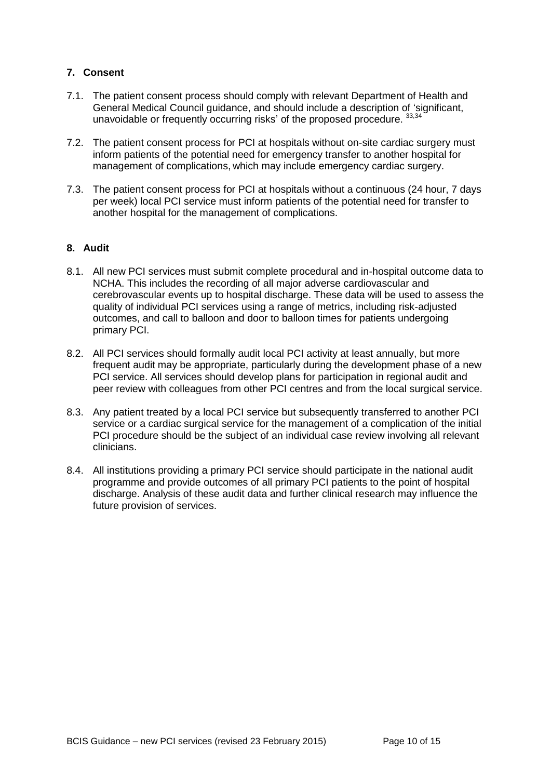## **7. Consent**

- 7.1. The patient consent process should comply with relevant Department of Health and General Medical Council guidance, and should include a description of 'significant, unavoidable or frequently occurring risks' of the proposed procedure. 33,34
- 7.2. The patient consent process for PCI at hospitals without on-site cardiac surgery must inform patients of the potential need for emergency transfer to another hospital for management of complications, which may include emergency cardiac surgery.
- 7.3. The patient consent process for PCI at hospitals without a continuous (24 hour, 7 days per week) local PCI service must inform patients of the potential need for transfer to another hospital for the management of complications.

#### **8. Audit**

- 8.1. All new PCI services must submit complete procedural and in-hospital outcome data to NCHA. This includes the recording of all major adverse cardiovascular and cerebrovascular events up to hospital discharge. These data will be used to assess the quality of individual PCI services using a range of metrics, including risk-adjusted outcomes, and call to balloon and door to balloon times for patients undergoing primary PCI.
- 8.2. All PCI services should formally audit local PCI activity at least annually, but more frequent audit may be appropriate, particularly during the development phase of a new PCI service. All services should develop plans for participation in regional audit and peer review with colleagues from other PCI centres and from the local surgical service.
- 8.3. Any patient treated by a local PCI service but subsequently transferred to another PCI service or a cardiac surgical service for the management of a complication of the initial PCI procedure should be the subject of an individual case review involving all relevant clinicians.
- 8.4. All institutions providing a primary PCI service should participate in the national audit programme and provide outcomes of all primary PCI patients to the point of hospital discharge. Analysis of these audit data and further clinical research may influence the future provision of services.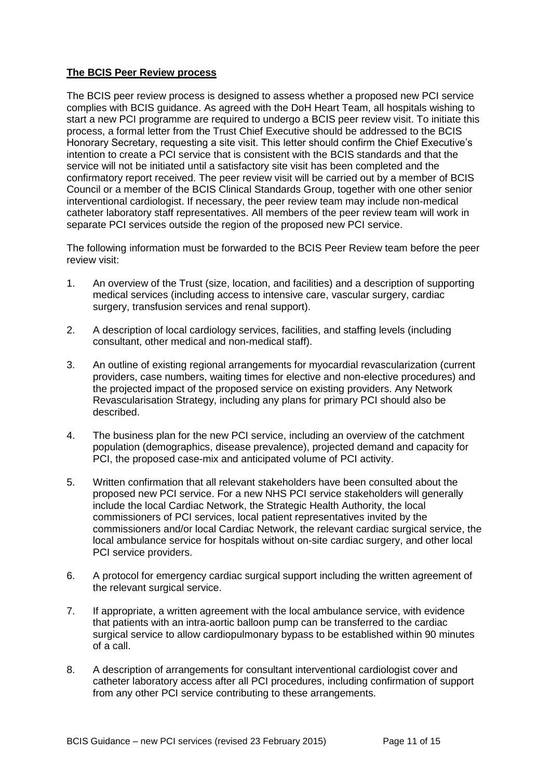#### **The BCIS Peer Review process**

The BCIS peer review process is designed to assess whether a proposed new PCI service complies with BCIS guidance. As agreed with the DoH Heart Team, all hospitals wishing to start a new PCI programme are required to undergo a BCIS peer review visit. To initiate this process, a formal letter from the Trust Chief Executive should be addressed to the BCIS Honorary Secretary, requesting a site visit. This letter should confirm the Chief Executive's intention to create a PCI service that is consistent with the BCIS standards and that the service will not be initiated until a satisfactory site visit has been completed and the confirmatory report received. The peer review visit will be carried out by a member of BCIS Council or a member of the BCIS Clinical Standards Group, together with one other senior interventional cardiologist. If necessary, the peer review team may include non-medical catheter laboratory staff representatives. All members of the peer review team will work in separate PCI services outside the region of the proposed new PCI service.

The following information must be forwarded to the BCIS Peer Review team before the peer review visit:

- 1. An overview of the Trust (size, location, and facilities) and a description of supporting medical services (including access to intensive care, vascular surgery, cardiac surgery, transfusion services and renal support).
- 2. A description of local cardiology services, facilities, and staffing levels (including consultant, other medical and non-medical staff).
- 3. An outline of existing regional arrangements for myocardial revascularization (current providers, case numbers, waiting times for elective and non-elective procedures) and the projected impact of the proposed service on existing providers. Any Network Revascularisation Strategy, including any plans for primary PCI should also be described.
- 4. The business plan for the new PCI service, including an overview of the catchment population (demographics, disease prevalence), projected demand and capacity for PCI, the proposed case-mix and anticipated volume of PCI activity.
- 5. Written confirmation that all relevant stakeholders have been consulted about the proposed new PCI service. For a new NHS PCI service stakeholders will generally include the local Cardiac Network, the Strategic Health Authority, the local commissioners of PCI services, local patient representatives invited by the commissioners and/or local Cardiac Network, the relevant cardiac surgical service, the local ambulance service for hospitals without on-site cardiac surgery, and other local PCI service providers.
- 6. A protocol for emergency cardiac surgical support including the written agreement of the relevant surgical service.
- 7. If appropriate, a written agreement with the local ambulance service, with evidence that patients with an intra-aortic balloon pump can be transferred to the cardiac surgical service to allow cardiopulmonary bypass to be established within 90 minutes of a call.
- 8. A description of arrangements for consultant interventional cardiologist cover and catheter laboratory access after all PCI procedures, including confirmation of support from any other PCI service contributing to these arrangements.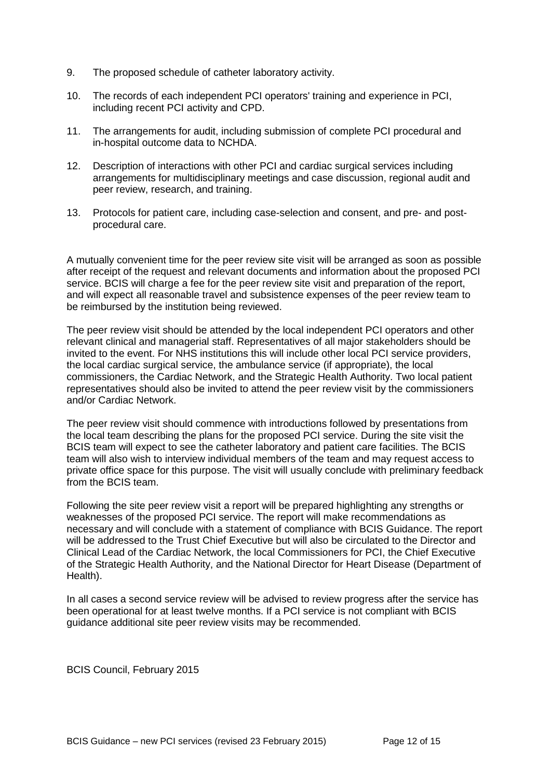- 9. The proposed schedule of catheter laboratory activity.
- 10. The records of each independent PCI operators' training and experience in PCI, including recent PCI activity and CPD.
- 11. The arrangements for audit, including submission of complete PCI procedural and in-hospital outcome data to NCHDA.
- 12. Description of interactions with other PCI and cardiac surgical services including arrangements for multidisciplinary meetings and case discussion, regional audit and peer review, research, and training.
- 13. Protocols for patient care, including case-selection and consent, and pre- and postprocedural care.

A mutually convenient time for the peer review site visit will be arranged as soon as possible after receipt of the request and relevant documents and information about the proposed PCI service. BCIS will charge a fee for the peer review site visit and preparation of the report, and will expect all reasonable travel and subsistence expenses of the peer review team to be reimbursed by the institution being reviewed.

The peer review visit should be attended by the local independent PCI operators and other relevant clinical and managerial staff. Representatives of all major stakeholders should be invited to the event. For NHS institutions this will include other local PCI service providers, the local cardiac surgical service, the ambulance service (if appropriate), the local commissioners, the Cardiac Network, and the Strategic Health Authority. Two local patient representatives should also be invited to attend the peer review visit by the commissioners and/or Cardiac Network.

The peer review visit should commence with introductions followed by presentations from the local team describing the plans for the proposed PCI service. During the site visit the BCIS team will expect to see the catheter laboratory and patient care facilities. The BCIS team will also wish to interview individual members of the team and may request access to private office space for this purpose. The visit will usually conclude with preliminary feedback from the BCIS team.

Following the site peer review visit a report will be prepared highlighting any strengths or weaknesses of the proposed PCI service. The report will make recommendations as necessary and will conclude with a statement of compliance with BCIS Guidance. The report will be addressed to the Trust Chief Executive but will also be circulated to the Director and Clinical Lead of the Cardiac Network, the local Commissioners for PCI, the Chief Executive of the Strategic Health Authority, and the National Director for Heart Disease (Department of Health).

In all cases a second service review will be advised to review progress after the service has been operational for at least twelve months. If a PCI service is not compliant with BCIS guidance additional site peer review visits may be recommended.

BCIS Council, February 2015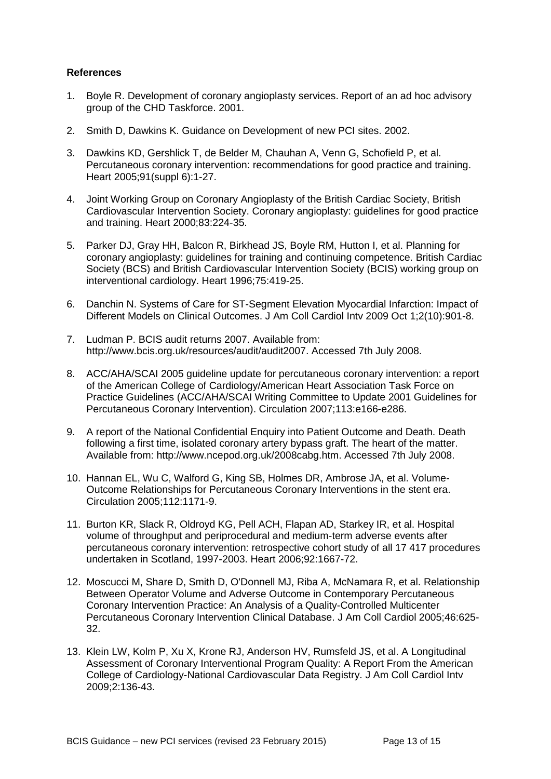#### **References**

- 1. Boyle R. Development of coronary angioplasty services. Report of an ad hoc advisory group of the CHD Taskforce. 2001.
- 2. Smith D, Dawkins K. Guidance on Development of new PCI sites. 2002.
- 3. Dawkins KD, Gershlick T, de Belder M, Chauhan A, Venn G, Schofield P, et al. Percutaneous coronary intervention: recommendations for good practice and training. Heart 2005;91(suppl 6):1-27.
- 4. Joint Working Group on Coronary Angioplasty of the British Cardiac Society, British Cardiovascular Intervention Society. Coronary angioplasty: guidelines for good practice and training. Heart 2000;83:224-35.
- 5. Parker DJ, Gray HH, Balcon R, Birkhead JS, Boyle RM, Hutton I, et al. Planning for coronary angioplasty: guidelines for training and continuing competence. British Cardiac Society (BCS) and British Cardiovascular Intervention Society (BCIS) working group on interventional cardiology. Heart 1996;75:419-25.
- 6. Danchin N. Systems of Care for ST-Segment Elevation Myocardial Infarction: Impact of Different Models on Clinical Outcomes. J Am Coll Cardiol Intv 2009 Oct 1;2(10):901-8.
- 7. Ludman P. BCIS audit returns 2007. Available from: http://www.bcis.org.uk/resources/audit/audit2007. Accessed 7th July 2008.
- 8. ACC/AHA/SCAI 2005 guideline update for percutaneous coronary intervention: a report of the American College of Cardiology/American Heart Association Task Force on Practice Guidelines (ACC/AHA/SCAI Writing Committee to Update 2001 Guidelines for Percutaneous Coronary Intervention). Circulation 2007;113:e166-e286.
- 9. A report of the National Confidential Enquiry into Patient Outcome and Death. Death following a first time, isolated coronary artery bypass graft. The heart of the matter. Available from: http://www.ncepod.org.uk/2008cabg.htm. Accessed 7th July 2008.
- 10. Hannan EL, Wu C, Walford G, King SB, Holmes DR, Ambrose JA, et al. Volume-Outcome Relationships for Percutaneous Coronary Interventions in the stent era. Circulation 2005;112:1171-9.
- 11. Burton KR, Slack R, Oldroyd KG, Pell ACH, Flapan AD, Starkey IR, et al. Hospital volume of throughput and periprocedural and medium-term adverse events after percutaneous coronary intervention: retrospective cohort study of all 17 417 procedures undertaken in Scotland, 1997-2003. Heart 2006;92:1667-72.
- 12. Moscucci M, Share D, Smith D, O'Donnell MJ, Riba A, McNamara R, et al. Relationship Between Operator Volume and Adverse Outcome in Contemporary Percutaneous Coronary Intervention Practice: An Analysis of a Quality-Controlled Multicenter Percutaneous Coronary Intervention Clinical Database. J Am Coll Cardiol 2005;46:625- 32.
- 13. Klein LW, Kolm P, Xu X, Krone RJ, Anderson HV, Rumsfeld JS, et al. A Longitudinal Assessment of Coronary Interventional Program Quality: A Report From the American College of Cardiology-National Cardiovascular Data Registry. J Am Coll Cardiol Intv 2009;2:136-43.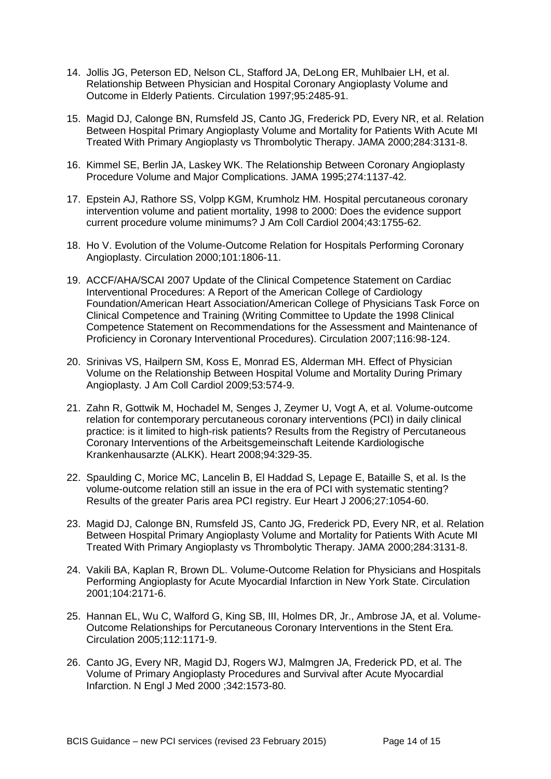- 14. Jollis JG, Peterson ED, Nelson CL, Stafford JA, DeLong ER, Muhlbaier LH, et al. Relationship Between Physician and Hospital Coronary Angioplasty Volume and Outcome in Elderly Patients. Circulation 1997;95:2485-91.
- 15. Magid DJ, Calonge BN, Rumsfeld JS, Canto JG, Frederick PD, Every NR, et al. Relation Between Hospital Primary Angioplasty Volume and Mortality for Patients With Acute MI Treated With Primary Angioplasty vs Thrombolytic Therapy. JAMA 2000;284:3131-8.
- 16. Kimmel SE, Berlin JA, Laskey WK. The Relationship Between Coronary Angioplasty Procedure Volume and Major Complications. JAMA 1995;274:1137-42.
- 17. Epstein AJ, Rathore SS, Volpp KGM, Krumholz HM. Hospital percutaneous coronary intervention volume and patient mortality, 1998 to 2000: Does the evidence support current procedure volume minimums? J Am Coll Cardiol 2004;43:1755-62.
- 18. Ho V. Evolution of the Volume-Outcome Relation for Hospitals Performing Coronary Angioplasty. Circulation 2000;101:1806-11.
- 19. ACCF/AHA/SCAI 2007 Update of the Clinical Competence Statement on Cardiac Interventional Procedures: A Report of the American College of Cardiology Foundation/American Heart Association/American College of Physicians Task Force on Clinical Competence and Training (Writing Committee to Update the 1998 Clinical Competence Statement on Recommendations for the Assessment and Maintenance of Proficiency in Coronary Interventional Procedures). Circulation 2007;116:98-124.
- 20. Srinivas VS, Hailpern SM, Koss E, Monrad ES, Alderman MH. Effect of Physician Volume on the Relationship Between Hospital Volume and Mortality During Primary Angioplasty. J Am Coll Cardiol 2009;53:574-9.
- 21. Zahn R, Gottwik M, Hochadel M, Senges J, Zeymer U, Vogt A, et al. Volume-outcome relation for contemporary percutaneous coronary interventions (PCI) in daily clinical practice: is it limited to high-risk patients? Results from the Registry of Percutaneous Coronary Interventions of the Arbeitsgemeinschaft Leitende Kardiologische Krankenhausarzte (ALKK). Heart 2008;94:329-35.
- 22. Spaulding C, Morice MC, Lancelin B, El Haddad S, Lepage E, Bataille S, et al. Is the volume-outcome relation still an issue in the era of PCI with systematic stenting? Results of the greater Paris area PCI registry. Eur Heart J 2006;27:1054-60.
- 23. Magid DJ, Calonge BN, Rumsfeld JS, Canto JG, Frederick PD, Every NR, et al. Relation Between Hospital Primary Angioplasty Volume and Mortality for Patients With Acute MI Treated With Primary Angioplasty vs Thrombolytic Therapy. JAMA 2000;284:3131-8.
- 24. Vakili BA, Kaplan R, Brown DL. Volume-Outcome Relation for Physicians and Hospitals Performing Angioplasty for Acute Myocardial Infarction in New York State. Circulation 2001;104:2171-6.
- 25. Hannan EL, Wu C, Walford G, King SB, III, Holmes DR, Jr., Ambrose JA, et al. Volume-Outcome Relationships for Percutaneous Coronary Interventions in the Stent Era. Circulation 2005;112:1171-9.
- 26. Canto JG, Every NR, Magid DJ, Rogers WJ, Malmgren JA, Frederick PD, et al. The Volume of Primary Angioplasty Procedures and Survival after Acute Myocardial Infarction. N Engl J Med 2000 ;342:1573-80.